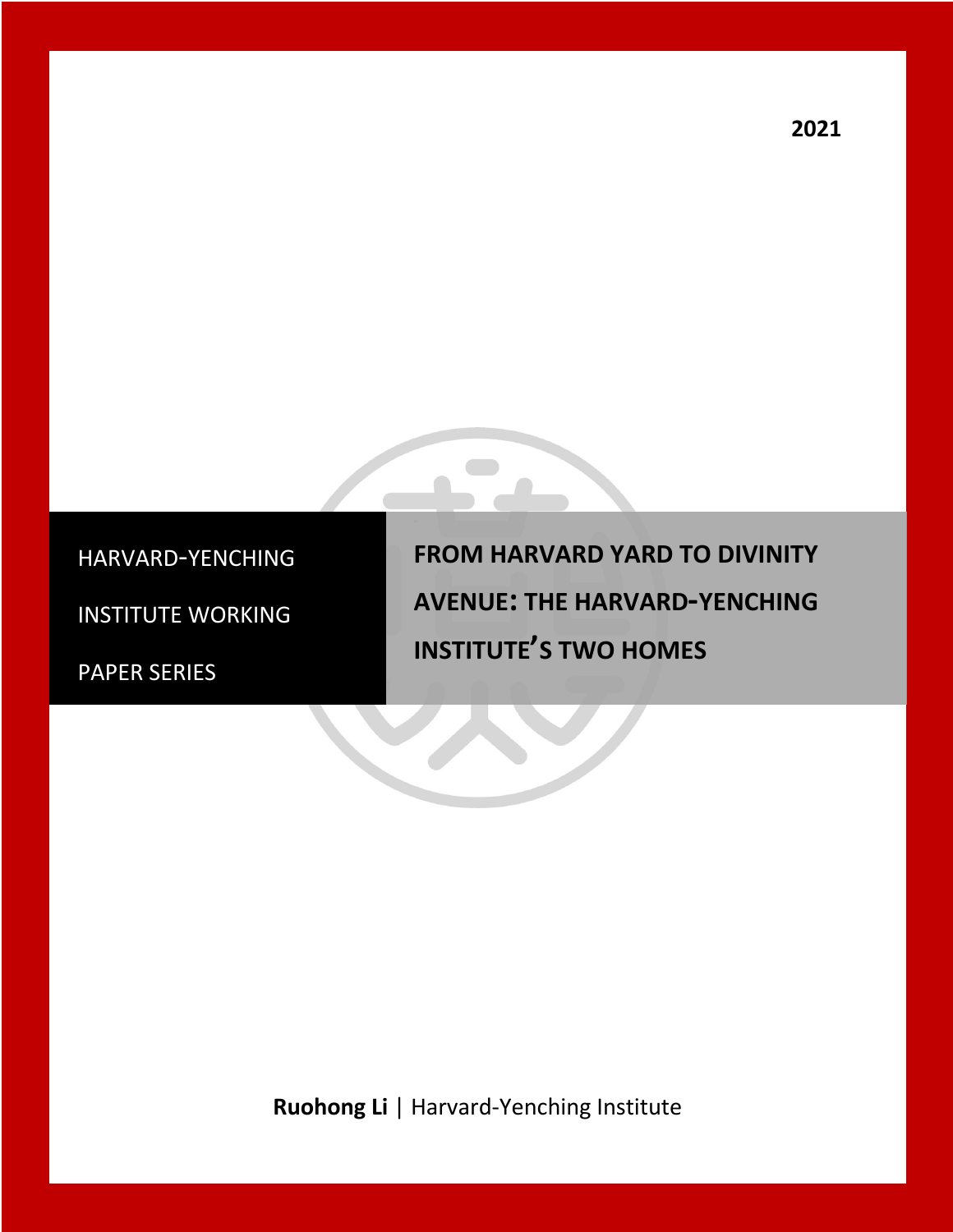HARVARD-YENCHING

INSTITUTE WORKING

PAPER SERIES

**FROM HARVARD YARD TO DIVINITY AVENUE: THE HARVARD-YENCHING INSTITUTE'S TWO HOMES**

**Ruohong Li** | Harvard-Yenching Institute

-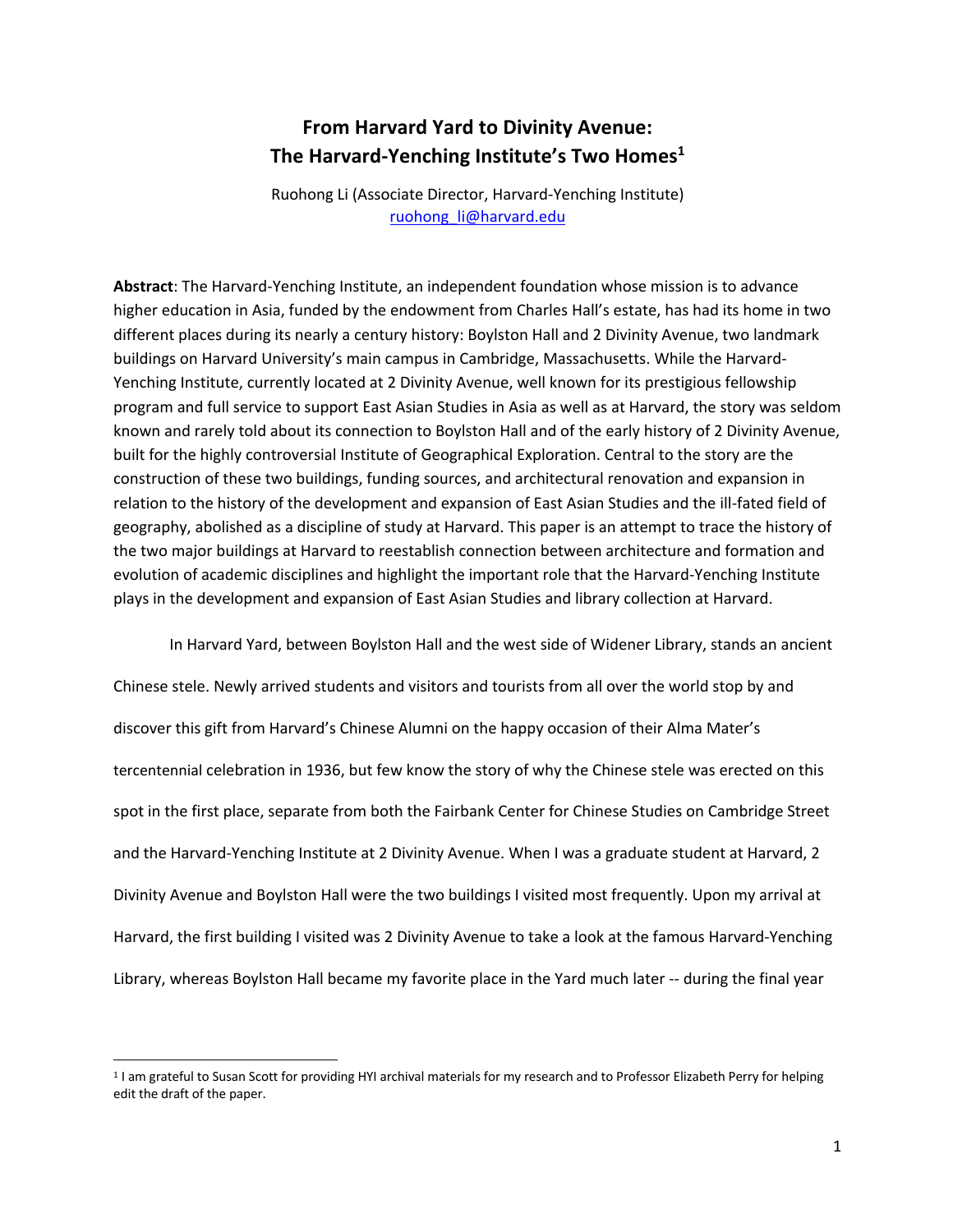## **From Harvard Yard to Divinity Avenue: The Harvard-Yenching Institute's Two Homes1**

Ruohong Li (Associate Director, Harvard-Yenching Institute) ruohong\_li@harvard.edu

**Abstract**: The Harvard-Yenching Institute, an independent foundation whose mission is to advance higher education in Asia, funded by the endowment from Charles Hall's estate, has had its home in two different places during its nearly a century history: Boylston Hall and 2 Divinity Avenue, two landmark buildings on Harvard University's main campus in Cambridge, Massachusetts. While the Harvard-Yenching Institute, currently located at 2 Divinity Avenue, well known for its prestigious fellowship program and full service to support East Asian Studies in Asia as well as at Harvard, the story was seldom known and rarely told about its connection to Boylston Hall and of the early history of 2 Divinity Avenue, built for the highly controversial Institute of Geographical Exploration. Central to the story are the construction of these two buildings, funding sources, and architectural renovation and expansion in relation to the history of the development and expansion of East Asian Studies and the ill-fated field of geography, abolished as a discipline of study at Harvard. This paper is an attempt to trace the history of the two major buildings at Harvard to reestablish connection between architecture and formation and evolution of academic disciplines and highlight the important role that the Harvard-Yenching Institute plays in the development and expansion of East Asian Studies and library collection at Harvard.

In Harvard Yard, between Boylston Hall and the west side of Widener Library, stands an ancient

Chinese stele. Newly arrived students and visitors and tourists from all over the world stop by and discover this gift from Harvard's Chinese Alumni on the happy occasion of their Alma Mater's tercentennial celebration in 1936, but few know the story of why the Chinese stele was erected on this spot in the first place, separate from both the Fairbank Center for Chinese Studies on Cambridge Street and the Harvard-Yenching Institute at 2 Divinity Avenue. When I was a graduate student at Harvard, 2 Divinity Avenue and Boylston Hall were the two buildings I visited most frequently. Upon my arrival at Harvard, the first building I visited was 2 Divinity Avenue to take a look at the famous Harvard-Yenching Library, whereas Boylston Hall became my favorite place in the Yard much later -- during the final year

<sup>1</sup> I am grateful to Susan Scott for providing HYI archival materials for my research and to Professor Elizabeth Perry for helping edit the draft of the paper.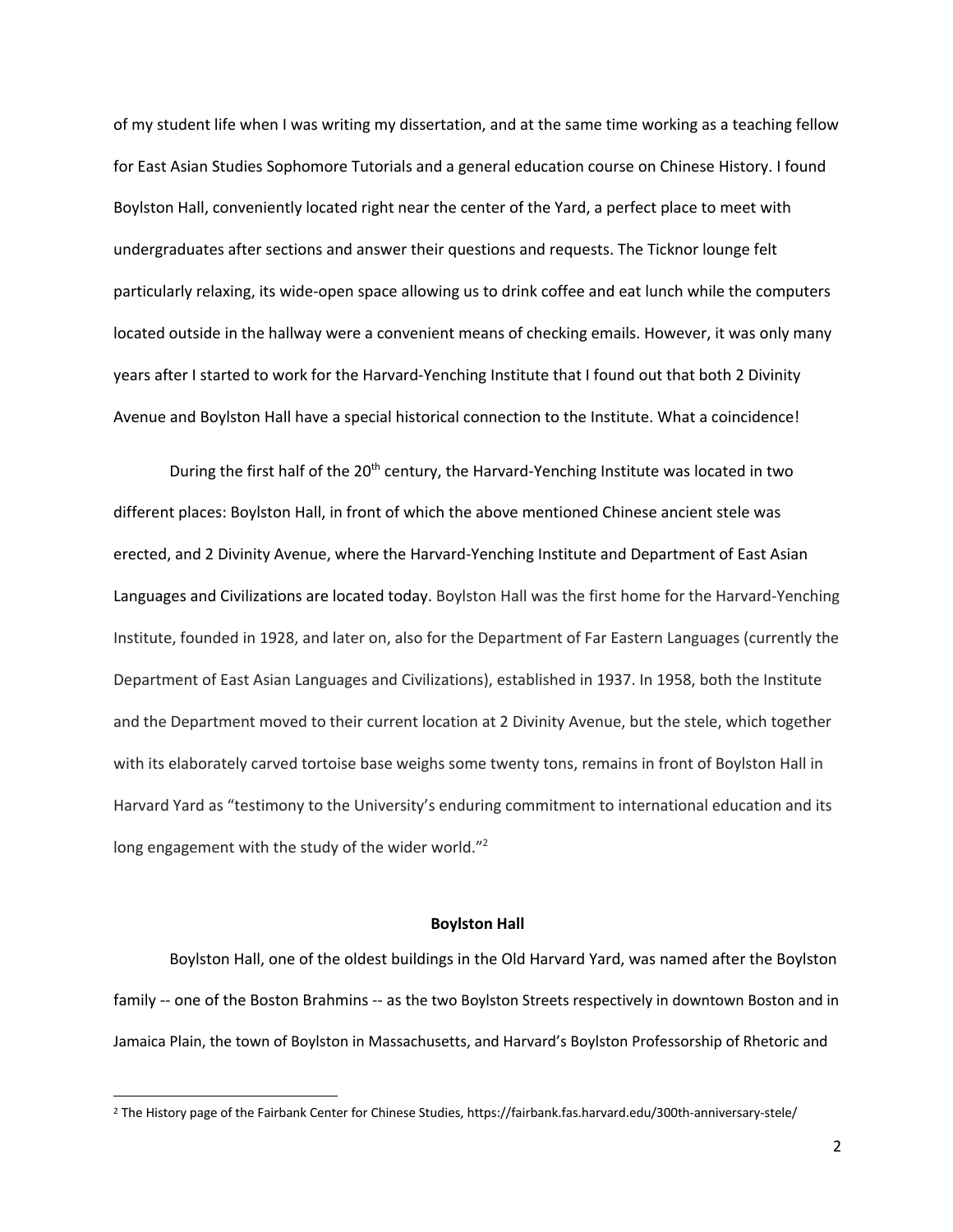of my student life when I was writing my dissertation, and at the same time working as a teaching fellow for East Asian Studies Sophomore Tutorials and a general education course on Chinese History. I found Boylston Hall, conveniently located right near the center of the Yard, a perfect place to meet with undergraduates after sections and answer their questions and requests. The Ticknor lounge felt particularly relaxing, its wide-open space allowing us to drink coffee and eat lunch while the computers located outside in the hallway were a convenient means of checking emails. However, it was only many years after I started to work for the Harvard-Yenching Institute that I found out that both 2 Divinity Avenue and Boylston Hall have a special historical connection to the Institute. What a coincidence!

During the first half of the 20<sup>th</sup> century, the Harvard-Yenching Institute was located in two different places: Boylston Hall, in front of which the above mentioned Chinese ancient stele was erected, and 2 Divinity Avenue, where the Harvard-Yenching Institute and Department of East Asian Languages and Civilizations are located today. Boylston Hall was the first home for the Harvard-Yenching Institute, founded in 1928, and later on, also for the Department of Far Eastern Languages (currently the Department of East Asian Languages and Civilizations), established in 1937. In 1958, both the Institute and the Department moved to their current location at 2 Divinity Avenue, but the stele, which together with its elaborately carved tortoise base weighs some twenty tons, remains in front of Boylston Hall in Harvard Yard as "testimony to the University's enduring commitment to international education and its long engagement with the study of the wider world."<sup>2</sup>

## **Boylston Hall**

Boylston Hall, one of the oldest buildings in the Old Harvard Yard, was named after the Boylston family -- one of the Boston Brahmins -- as the two Boylston Streets respectively in downtown Boston and in Jamaica Plain, the town of Boylston in Massachusetts, and Harvard's Boylston Professorship of Rhetoric and

<sup>2</sup> The History page of the Fairbank Center for Chinese Studies, https://fairbank.fas.harvard.edu/300th-anniversary-stele/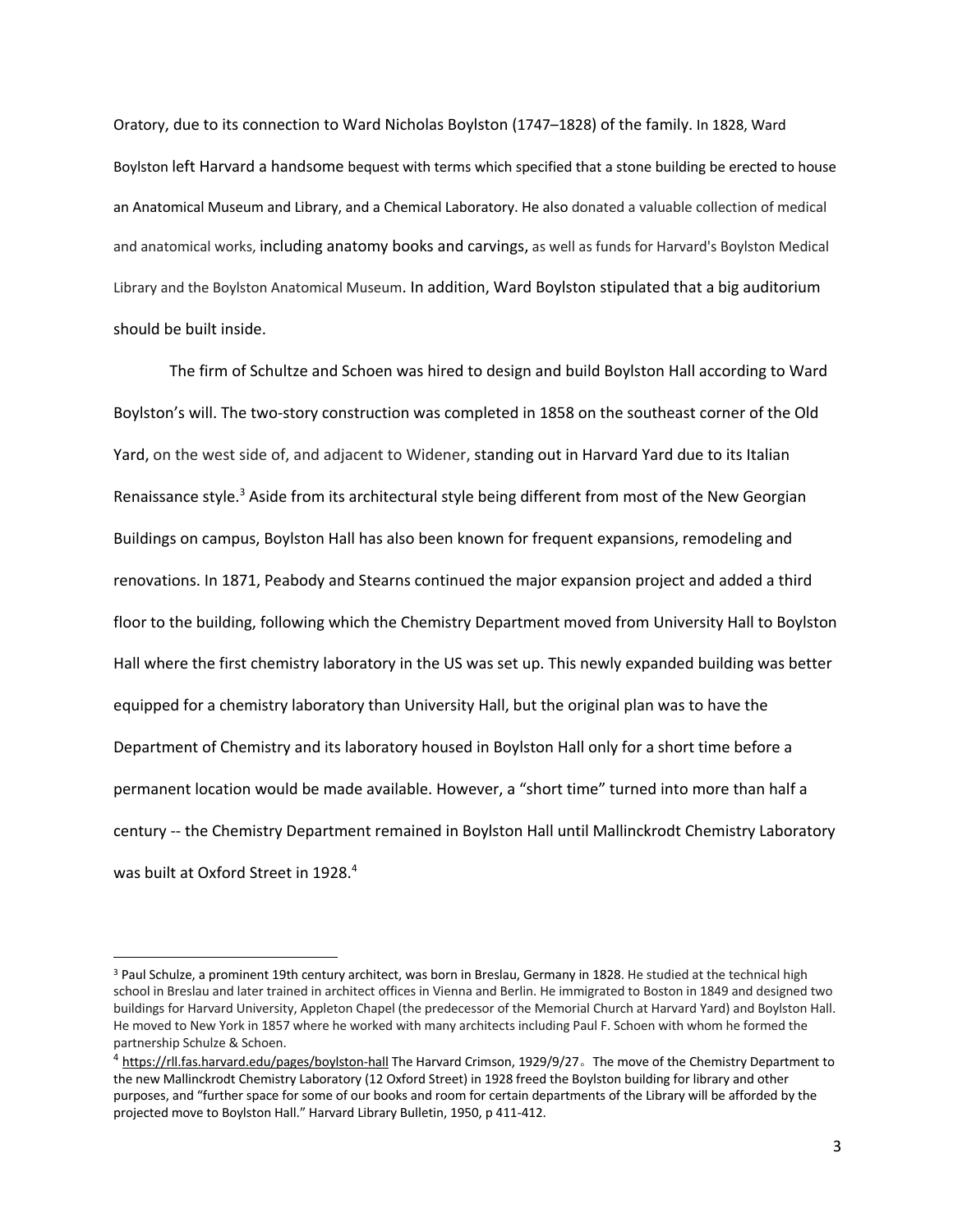Oratory, due to its connection to Ward Nicholas Boylston (1747–1828) of the family. In 1828, Ward Boylston left Harvard a handsome bequest with terms which specified that a stone building be erected to house an Anatomical Museum and Library, and a Chemical Laboratory. He also donated a valuable collection of medical and anatomical works, including anatomy books and carvings, as well as funds for Harvard's Boylston Medical Library and the Boylston Anatomical Museum. In addition, Ward Boylston stipulated that a big auditorium should be built inside.

The firm of Schultze and Schoen was hired to design and build Boylston Hall according to Ward Boylston's will. The two-story construction was completed in 1858 on the southeast corner of the Old Yard, on the west side of, and adjacent to Widener, standing out in Harvard Yard due to its Italian Renaissance style.<sup>3</sup> Aside from its architectural style being different from most of the New Georgian Buildings on campus, Boylston Hall has also been known for frequent expansions, remodeling and renovations. In 1871, Peabody and Stearns continued the major expansion project and added a third floor to the building, following which the Chemistry Department moved from University Hall to Boylston Hall where the first chemistry laboratory in the US was set up. This newly expanded building was better equipped for a chemistry laboratory than University Hall, but the original plan was to have the Department of Chemistry and its laboratory housed in Boylston Hall only for a short time before a permanent location would be made available. However, a "short time" turned into more than half a century -- the Chemistry Department remained in Boylston Hall until Mallinckrodt Chemistry Laboratory was built at Oxford Street in 1928. 4

<sup>&</sup>lt;sup>3</sup> Paul Schulze, a prominent 19th century architect, was born in Breslau, Germany in 1828. He studied at the technical high school in Breslau and later trained in architect offices in Vienna and Berlin. He immigrated to Boston in 1849 and designed two buildings for Harvard University, Appleton Chapel (the predecessor of the Memorial Church at Harvard Yard) and Boylston Hall. He moved to New York in 1857 where he worked with many architects including Paul F. Schoen with whom he formed the partnership Schulze & Schoen.

<sup>&</sup>lt;sup>4</sup> https://rll.fas.harvard.edu/pages/boylston-hall The Harvard Crimson, 1929/9/27。The move of the Chemistry Department to the new Mallinckrodt Chemistry Laboratory (12 Oxford Street) in 1928 freed the Boylston building for library and other purposes, and "further space for some of our books and room for certain departments of the Library will be afforded by the projected move to Boylston Hall." Harvard Library Bulletin, 1950, p 411-412.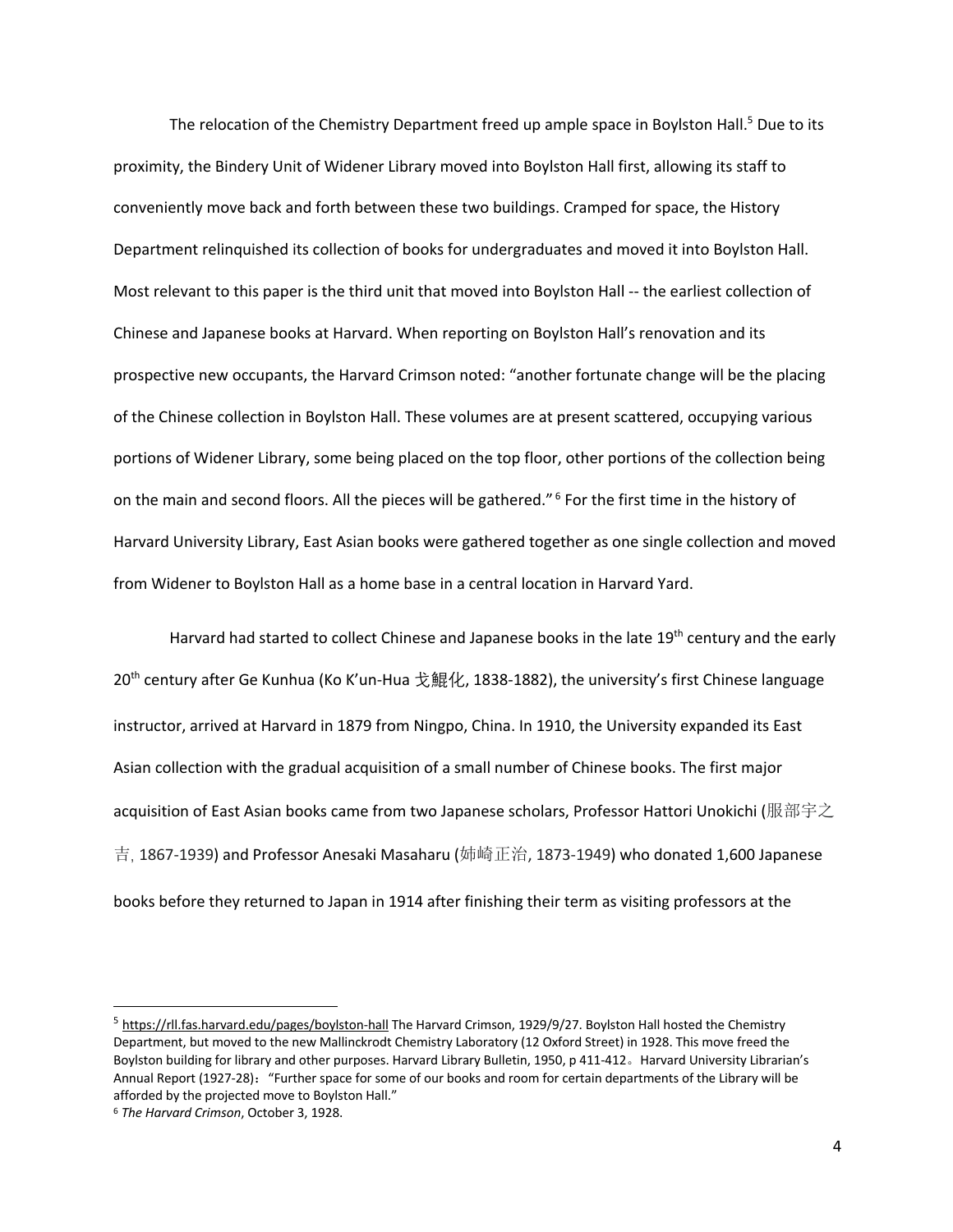The relocation of the Chemistry Department freed up ample space in Boylston Hall.<sup>5</sup> Due to its proximity, the Bindery Unit of Widener Library moved into Boylston Hall first, allowing its staff to conveniently move back and forth between these two buildings. Cramped for space, the History Department relinquished its collection of books for undergraduates and moved it into Boylston Hall. Most relevant to this paper is the third unit that moved into Boylston Hall -- the earliest collection of Chinese and Japanese books at Harvard. When reporting on Boylston Hall's renovation and its prospective new occupants, the Harvard Crimson noted: "another fortunate change will be the placing of the Chinese collection in Boylston Hall. These volumes are at present scattered, occupying various portions of Widener Library, some being placed on the top floor, other portions of the collection being on the main and second floors. All the pieces will be gathered."<sup>6</sup> For the first time in the history of Harvard University Library, East Asian books were gathered together as one single collection and moved from Widener to Boylston Hall as a home base in a central location in Harvard Yard.

Harvard had started to collect Chinese and Japanese books in the late  $19<sup>th</sup>$  century and the early 20<sup>th</sup> century after Ge Kunhua (Ko K'un-Hua 戈鯤化, 1838-1882), the university's first Chinese language instructor, arrived at Harvard in 1879 from Ningpo, China. In 1910, the University expanded its East Asian collection with the gradual acquisition of a small number of Chinese books. The first major acquisition of East Asian books came from two Japanese scholars, Professor Hattori Unokichi (服部宇之 吉, 1867-1939) and Professor Anesaki Masaharu (姉崎正治, 1873-1949) who donated 1,600 Japanese books before they returned to Japan in 1914 after finishing their term as visiting professors at the

<sup>&</sup>lt;sup>5</sup> https://rll.fas.harvard.edu/pages/boylston-hall The Harvard Crimson, 1929/9/27. Boylston Hall hosted the Chemistry Department, but moved to the new Mallinckrodt Chemistry Laboratory (12 Oxford Street) in 1928. This move freed the Boylston building for library and other purposes. Harvard Library Bulletin, 1950, p 411-412。Harvard University Librarian's Annual Report (1927-28):"Further space for some of our books and room for certain departments of the Library will be afforded by the projected move to Boylston Hall."

<sup>6</sup> *The Harvard Crimson*, October 3, 1928.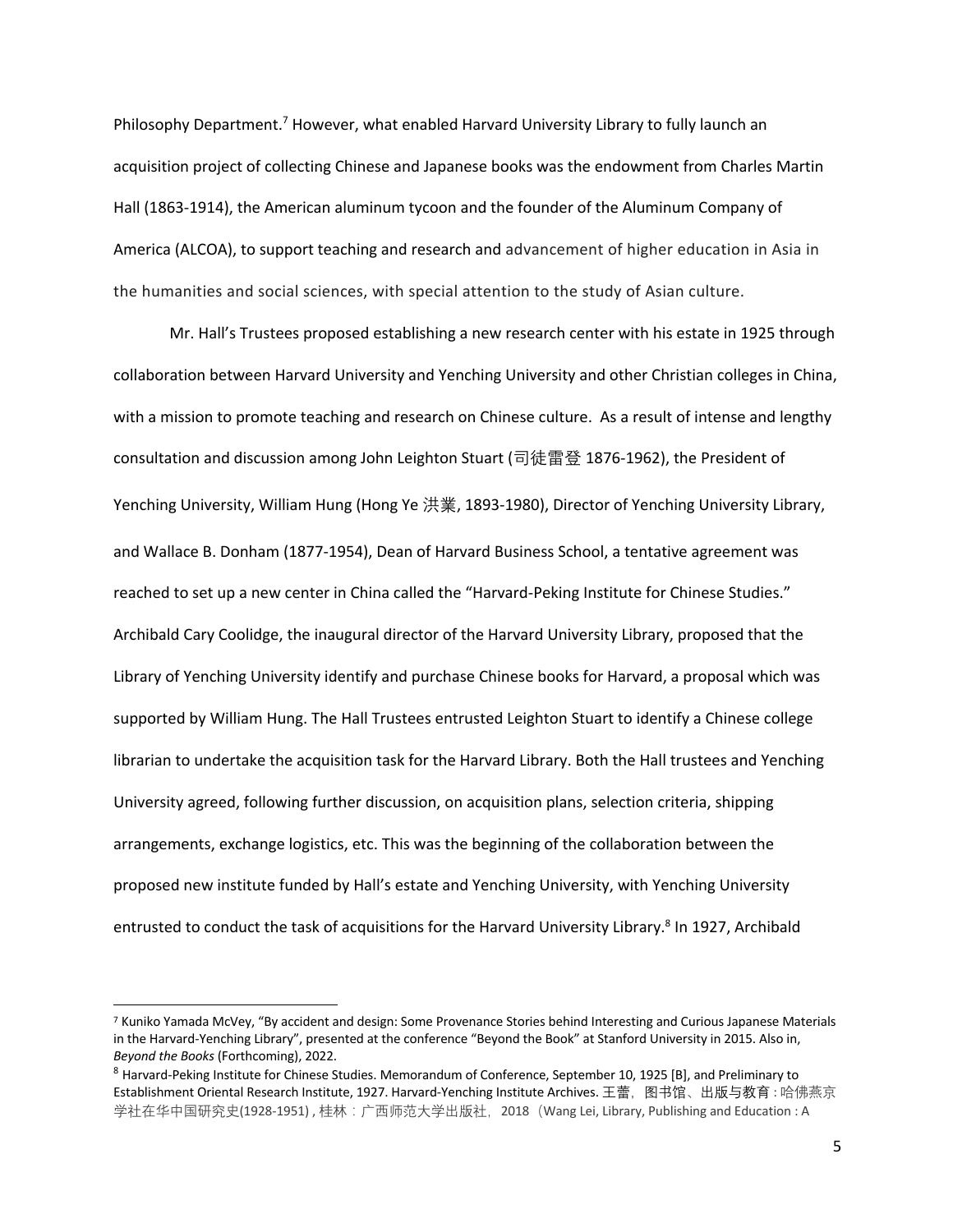Philosophy Department.<sup>7</sup> However, what enabled Harvard University Library to fully launch an acquisition project of collecting Chinese and Japanese books was the endowment from Charles Martin Hall (1863-1914), the American aluminum tycoon and the founder of the Aluminum Company of America (ALCOA), to support teaching and research and advancement of higher education in Asia in the humanities and social sciences, with special attention to the study of Asian culture.

Mr. Hall's Trustees proposed establishing a new research center with his estate in 1925 through collaboration between Harvard University and Yenching University and other Christian colleges in China, with a mission to promote teaching and research on Chinese culture. As a result of intense and lengthy consultation and discussion among John Leighton Stuart (司徒雷登 1876-1962), the President of Yenching University, William Hung (Hong Ye 洪業, 1893-1980), Director of Yenching University Library, and Wallace B. Donham (1877-1954), Dean of Harvard Business School, a tentative agreement was reached to set up a new center in China called the "Harvard-Peking Institute for Chinese Studies." Archibald Cary Coolidge, the inaugural director of the Harvard University Library, proposed that the Library of Yenching University identify and purchase Chinese books for Harvard, a proposal which was supported by William Hung. The Hall Trustees entrusted Leighton Stuart to identify a Chinese college librarian to undertake the acquisition task for the Harvard Library. Both the Hall trustees and Yenching University agreed, following further discussion, on acquisition plans, selection criteria, shipping arrangements, exchange logistics, etc. This was the beginning of the collaboration between the proposed new institute funded by Hall's estate and Yenching University, with Yenching University entrusted to conduct the task of acquisitions for the Harvard University Library.<sup>8</sup> In 1927, Archibald

<sup>7</sup> Kuniko Yamada McVey, "By accident and design: Some Provenance Stories behind Interesting and Curious Japanese Materials in the Harvard-Yenching Library", presented at the conference "Beyond the Book" at Stanford University in 2015. Also in, *Beyond the Books* (Forthcoming), 2022.

<sup>8</sup> Harvard-Peking Institute for Chinese Studies. Memorandum of Conference, September 10, 1925 [B], and Preliminary to Establishment Oriental Research Institute, 1927. Harvard-Yenching Institute Archives. 王蕾, 图书馆、出版与教育 : 哈佛燕京 学社在华中国研究史(1928-1951), 桂林:广西师范大学出版社, 2018 (Wang Lei, Library, Publishing and Education : A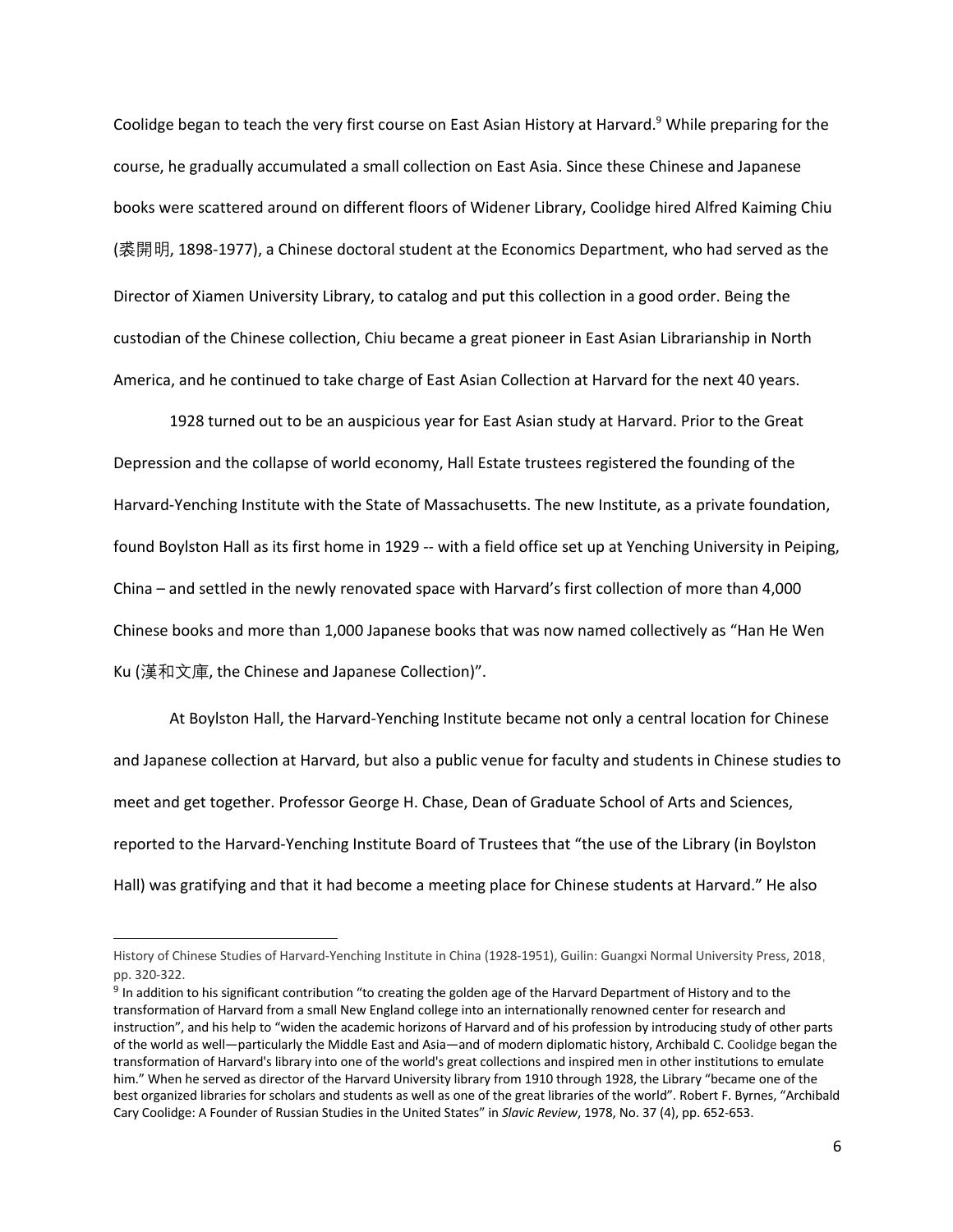Coolidge began to teach the very first course on East Asian History at Harvard.<sup>9</sup> While preparing for the course, he gradually accumulated a small collection on East Asia. Since these Chinese and Japanese books were scattered around on different floors of Widener Library, Coolidge hired Alfred Kaiming Chiu (裘開明, 1898-1977), a Chinese doctoral student at the Economics Department, who had served as the Director of Xiamen University Library, to catalog and put this collection in a good order. Being the custodian of the Chinese collection, Chiu became a great pioneer in East Asian Librarianship in North America, and he continued to take charge of East Asian Collection at Harvard for the next 40 years.

1928 turned out to be an auspicious year for East Asian study at Harvard. Prior to the Great Depression and the collapse of world economy, Hall Estate trustees registered the founding of the Harvard-Yenching Institute with the State of Massachusetts. The new Institute, as a private foundation, found Boylston Hall as its first home in 1929 -- with a field office set up at Yenching University in Peiping, China – and settled in the newly renovated space with Harvard's first collection of more than 4,000 Chinese books and more than 1,000 Japanese books that was now named collectively as "Han He Wen Ku (漢和文庫, the Chinese and Japanese Collection)".

At Boylston Hall, the Harvard-Yenching Institute became not only a central location for Chinese and Japanese collection at Harvard, but also a public venue for faculty and students in Chinese studies to meet and get together. Professor George H. Chase, Dean of Graduate School of Arts and Sciences, reported to the Harvard-Yenching Institute Board of Trustees that "the use of the Library (in Boylston Hall) was gratifying and that it had become a meeting place for Chinese students at Harvard." He also

History of Chinese Studies of Harvard-Yenching Institute in China (1928-1951), Guilin: Guangxi Normal University Press, 2018, pp. 320-322.

<sup>&</sup>lt;sup>9</sup> In addition to his significant contribution "to creating the golden age of the Harvard Department of History and to the transformation of Harvard from a small New England college into an internationally renowned center for research and instruction", and his help to "widen the academic horizons of Harvard and of his profession by introducing study of other parts of the world as well—particularly the Middle East and Asia—and of modern diplomatic history, Archibald C. Coolidge began the transformation of Harvard's library into one of the world's great collections and inspired men in other institutions to emulate him." When he served as director of the Harvard University library from 1910 through 1928, the Library "became one of the best organized libraries for scholars and students as well as one of the great libraries of the world". Robert F. Byrnes, "Archibald Cary Coolidge: A Founder of Russian Studies in the United States" in *Slavic Review*, 1978, No. 37 (4), pp. 652-653.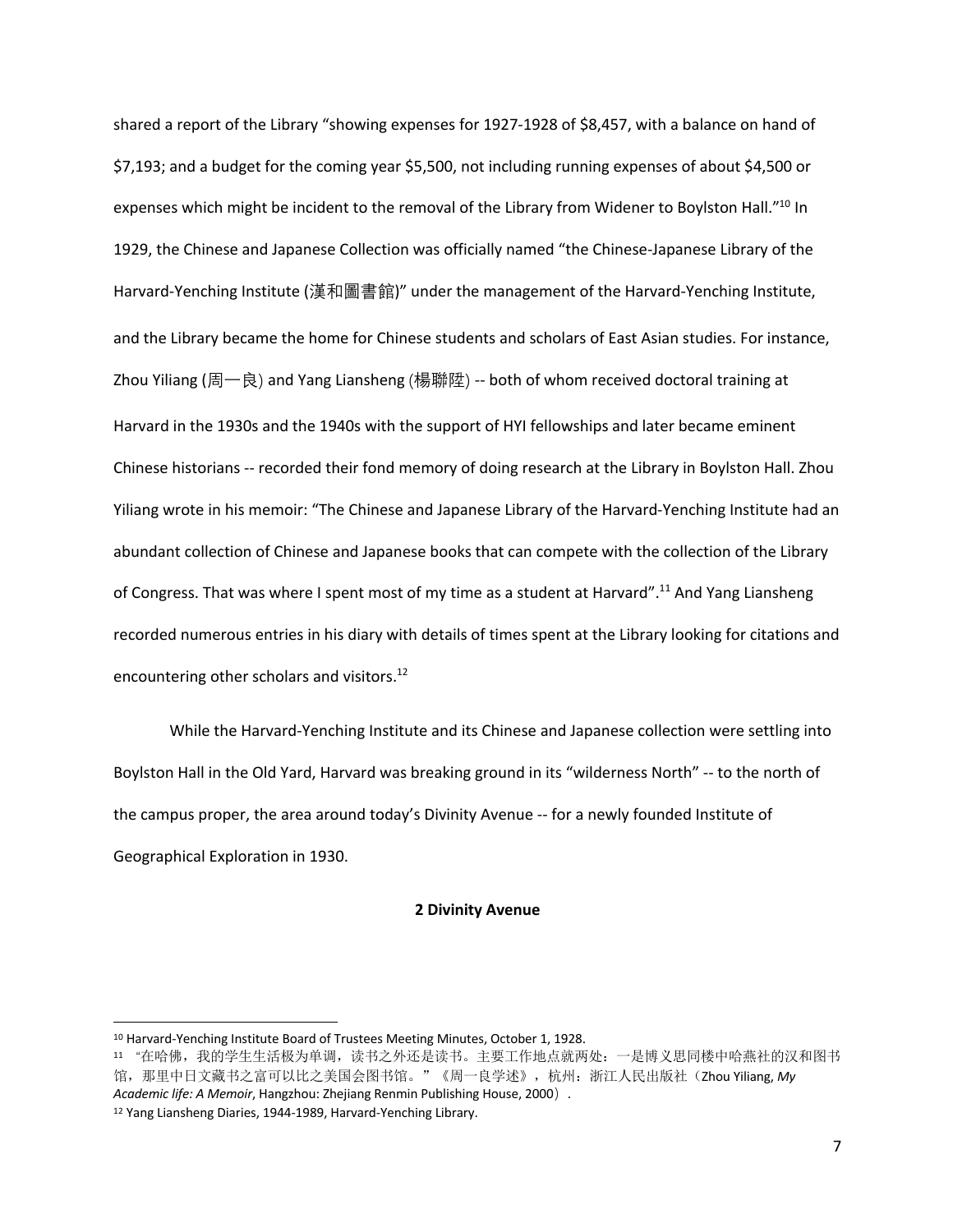shared a report of the Library "showing expenses for 1927-1928 of \$8,457, with a balance on hand of \$7,193; and a budget for the coming year \$5,500, not including running expenses of about \$4,500 or expenses which might be incident to the removal of the Library from Widener to Boylston Hall."<sup>10</sup> In 1929, the Chinese and Japanese Collection was officially named "the Chinese-Japanese Library of the Harvard-Yenching Institute (漢和圖書館)" under the management of the Harvard-Yenching Institute, and the Library became the home for Chinese students and scholars of East Asian studies. For instance, Zhou Yiliang (周一良) and Yang Liansheng (楊聯陞) -- both of whom received doctoral training at Harvard in the 1930s and the 1940s with the support of HYI fellowships and later became eminent Chinese historians -- recorded their fond memory of doing research at the Library in Boylston Hall. Zhou Yiliang wrote in his memoir: "The Chinese and Japanese Library of the Harvard-Yenching Institute had an abundant collection of Chinese and Japanese books that can compete with the collection of the Library of Congress. That was where I spent most of my time as a student at Harvard".<sup>11</sup> And Yang Liansheng recorded numerous entries in his diary with details of times spent at the Library looking for citations and encountering other scholars and visitors.<sup>12</sup>

While the Harvard-Yenching Institute and its Chinese and Japanese collection were settling into Boylston Hall in the Old Yard, Harvard was breaking ground in its "wilderness North" -- to the north of the campus proper, the area around today's Divinity Avenue -- for a newly founded Institute of Geographical Exploration in 1930.

## **2 Divinity Avenue**

<sup>10</sup> Harvard-Yenching Institute Board of Trustees Meeting Minutes, October 1, 1928.

<sup>11 &</sup>quot;在哈佛,我的学生生活极为单调,读书之外还是读书。主要工作地点就两处:一是博义思同楼中哈燕社的汉和图书 馆, 那里中日文藏书之富可以比之美国会图书馆。"《周一良学述》, 杭州: 浙江人民出版社(Zhou Yiliang, My *Academic life: A Memoir*, Hangzhou: Zhejiang Renmin Publishing House, 2000). <sup>12</sup> Yang Liansheng Diaries, 1944-1989, Harvard-Yenching Library.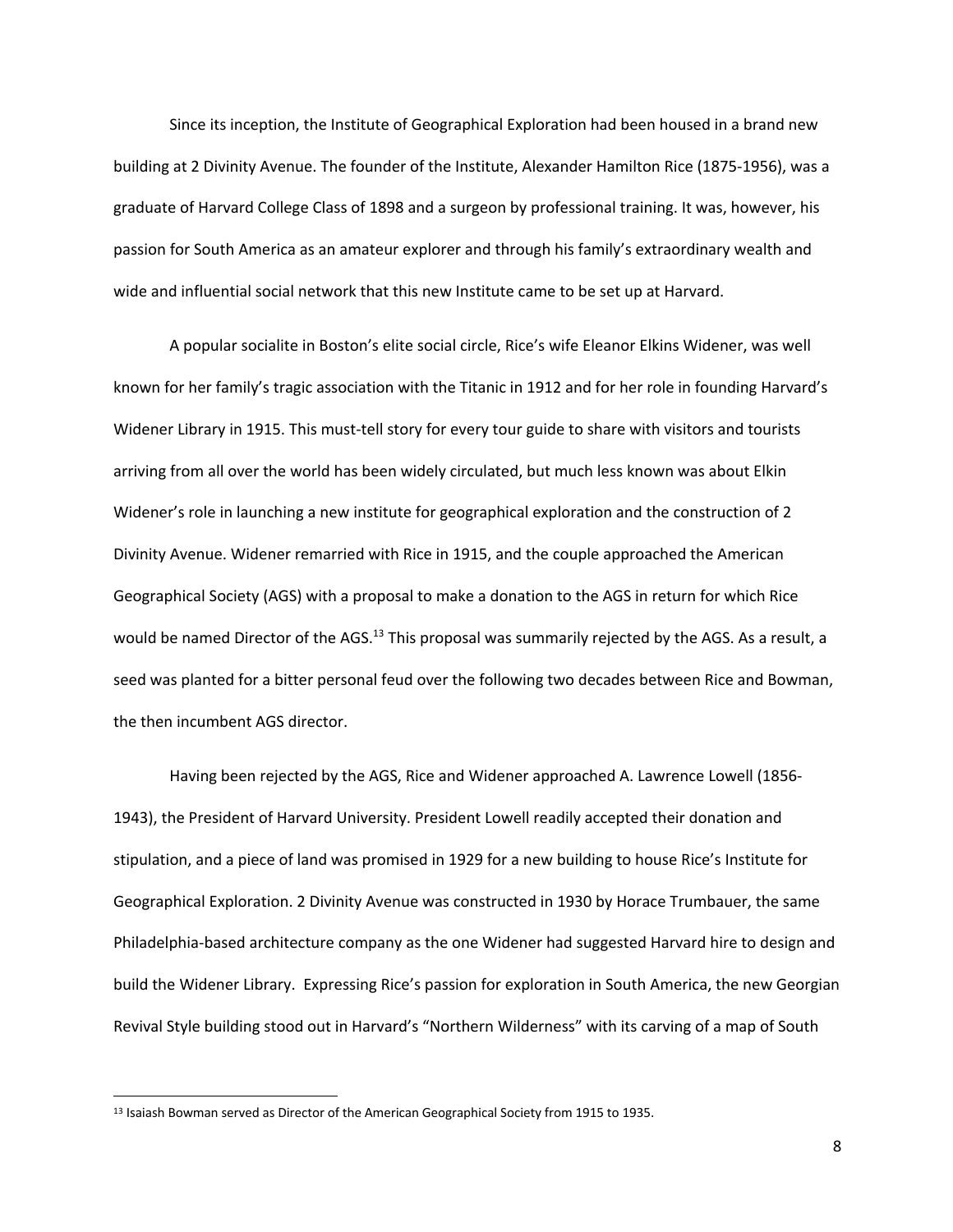Since its inception, the Institute of Geographical Exploration had been housed in a brand new building at 2 Divinity Avenue. The founder of the Institute, Alexander Hamilton Rice (1875-1956), was a graduate of Harvard College Class of 1898 and a surgeon by professional training. It was, however, his passion for South America as an amateur explorer and through his family's extraordinary wealth and wide and influential social network that this new Institute came to be set up at Harvard.

A popular socialite in Boston's elite social circle, Rice's wife Eleanor Elkins Widener, was well known for her family's tragic association with the Titanic in 1912 and for her role in founding Harvard's Widener Library in 1915. This must-tell story for every tour guide to share with visitors and tourists arriving from all over the world has been widely circulated, but much less known was about Elkin Widener's role in launching a new institute for geographical exploration and the construction of 2 Divinity Avenue. Widener remarried with Rice in 1915, and the couple approached the American Geographical Society (AGS) with a proposal to make a donation to the AGS in return for which Rice would be named Director of the AGS.<sup>13</sup> This proposal was summarily rejected by the AGS. As a result, a seed was planted for a bitter personal feud over the following two decades between Rice and Bowman, the then incumbent AGS director.

Having been rejected by the AGS, Rice and Widener approached A. Lawrence Lowell (1856- 1943), the President of Harvard University. President Lowell readily accepted their donation and stipulation, and a piece of land was promised in 1929 for a new building to house Rice's Institute for Geographical Exploration. 2 Divinity Avenue was constructed in 1930 by Horace Trumbauer, the same Philadelphia-based architecture company as the one Widener had suggested Harvard hire to design and build the Widener Library. Expressing Rice's passion for exploration in South America, the new Georgian Revival Style building stood out in Harvard's "Northern Wilderness" with its carving of a map of South

8

<sup>13</sup> Isaiash Bowman served as Director of the American Geographical Society from 1915 to 1935.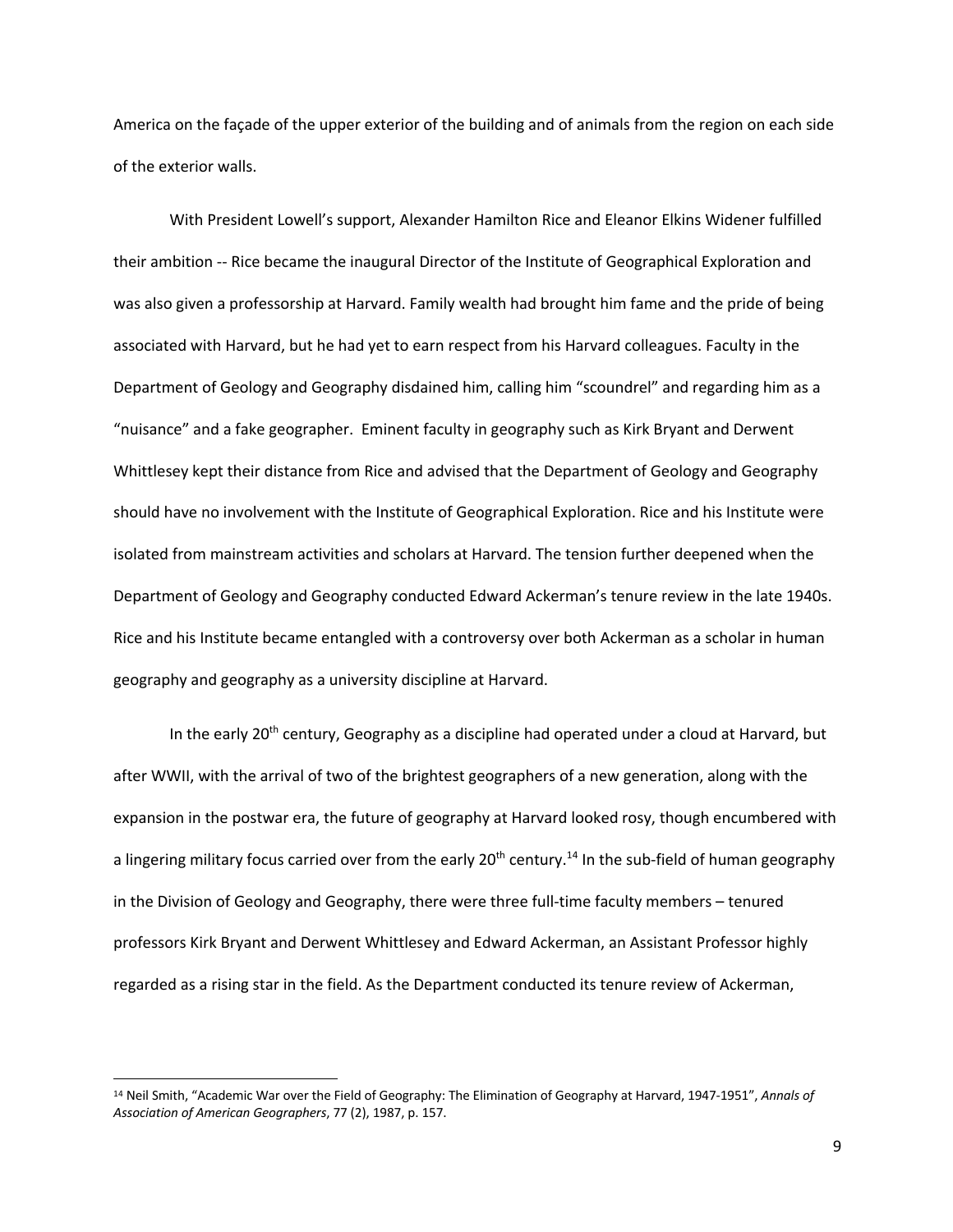America on the façade of the upper exterior of the building and of animals from the region on each side of the exterior walls.

With President Lowell's support, Alexander Hamilton Rice and Eleanor Elkins Widener fulfilled their ambition -- Rice became the inaugural Director of the Institute of Geographical Exploration and was also given a professorship at Harvard. Family wealth had brought him fame and the pride of being associated with Harvard, but he had yet to earn respect from his Harvard colleagues. Faculty in the Department of Geology and Geography disdained him, calling him "scoundrel" and regarding him as a "nuisance" and a fake geographer. Eminent faculty in geography such as Kirk Bryant and Derwent Whittlesey kept their distance from Rice and advised that the Department of Geology and Geography should have no involvement with the Institute of Geographical Exploration. Rice and his Institute were isolated from mainstream activities and scholars at Harvard. The tension further deepened when the Department of Geology and Geography conducted Edward Ackerman's tenure review in the late 1940s. Rice and his Institute became entangled with a controversy over both Ackerman as a scholar in human geography and geography as a university discipline at Harvard.

In the early 20<sup>th</sup> century, Geography as a discipline had operated under a cloud at Harvard, but after WWII, with the arrival of two of the brightest geographers of a new generation, along with the expansion in the postwar era, the future of geography at Harvard looked rosy, though encumbered with a lingering military focus carried over from the early 20<sup>th</sup> century.<sup>14</sup> In the sub-field of human geography in the Division of Geology and Geography, there were three full-time faculty members – tenured professors Kirk Bryant and Derwent Whittlesey and Edward Ackerman, an Assistant Professor highly regarded as a rising star in the field. As the Department conducted its tenure review of Ackerman,

<sup>14</sup> Neil Smith, "Academic War over the Field of Geography: The Elimination of Geography at Harvard, 1947-1951", *Annals of Association of American Geographers*, 77 (2), 1987, p. 157.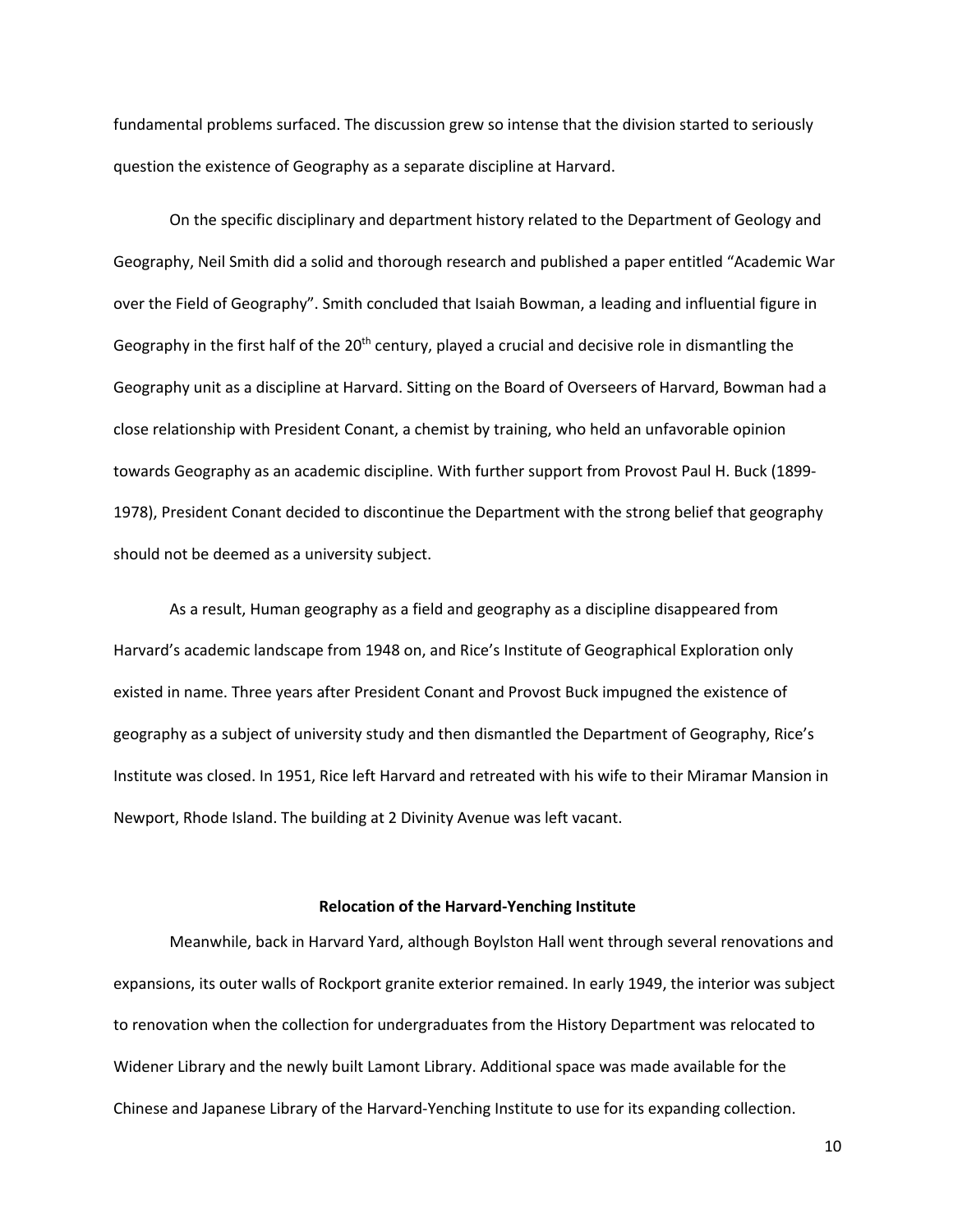fundamental problems surfaced. The discussion grew so intense that the division started to seriously question the existence of Geography as a separate discipline at Harvard.

On the specific disciplinary and department history related to the Department of Geology and Geography, Neil Smith did a solid and thorough research and published a paper entitled "Academic War over the Field of Geography". Smith concluded that Isaiah Bowman, a leading and influential figure in Geography in the first half of the  $20<sup>th</sup>$  century, played a crucial and decisive role in dismantling the Geography unit as a discipline at Harvard. Sitting on the Board of Overseers of Harvard, Bowman had a close relationship with President Conant, a chemist by training, who held an unfavorable opinion towards Geography as an academic discipline. With further support from Provost Paul H. Buck (1899- 1978), President Conant decided to discontinue the Department with the strong belief that geography should not be deemed as a university subject.

As a result, Human geography as a field and geography as a discipline disappeared from Harvard's academic landscape from 1948 on, and Rice's Institute of Geographical Exploration only existed in name. Three years after President Conant and Provost Buck impugned the existence of geography as a subject of university study and then dismantled the Department of Geography, Rice's Institute was closed. In 1951, Rice left Harvard and retreated with his wife to their Miramar Mansion in Newport, Rhode Island. The building at 2 Divinity Avenue was left vacant.

## **Relocation of the Harvard-Yenching Institute**

Meanwhile, back in Harvard Yard, although Boylston Hall went through several renovations and expansions, its outer walls of Rockport granite exterior remained. In early 1949, the interior was subject to renovation when the collection for undergraduates from the History Department was relocated to Widener Library and the newly built Lamont Library. Additional space was made available for the Chinese and Japanese Library of the Harvard-Yenching Institute to use for its expanding collection.

10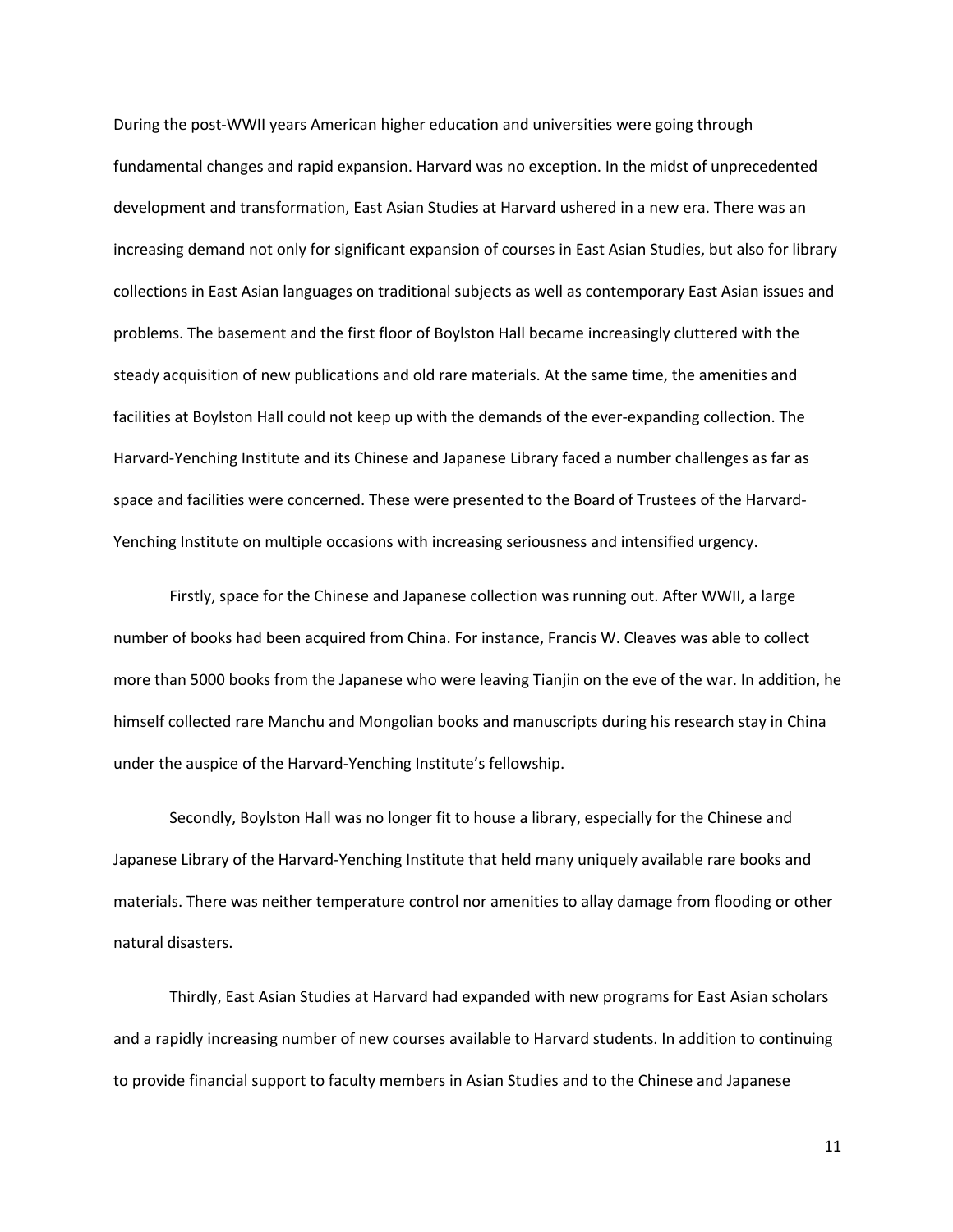During the post-WWII years American higher education and universities were going through fundamental changes and rapid expansion. Harvard was no exception. In the midst of unprecedented development and transformation, East Asian Studies at Harvard ushered in a new era. There was an increasing demand not only for significant expansion of courses in East Asian Studies, but also for library collections in East Asian languages on traditional subjects as well as contemporary East Asian issues and problems. The basement and the first floor of Boylston Hall became increasingly cluttered with the steady acquisition of new publications and old rare materials. At the same time, the amenities and facilities at Boylston Hall could not keep up with the demands of the ever-expanding collection. The Harvard-Yenching Institute and its Chinese and Japanese Library faced a number challenges as far as space and facilities were concerned. These were presented to the Board of Trustees of the Harvard-Yenching Institute on multiple occasions with increasing seriousness and intensified urgency.

Firstly, space for the Chinese and Japanese collection was running out. After WWII, a large number of books had been acquired from China. For instance, Francis W. Cleaves was able to collect more than 5000 books from the Japanese who were leaving Tianjin on the eve of the war. In addition, he himself collected rare Manchu and Mongolian books and manuscripts during his research stay in China under the auspice of the Harvard-Yenching Institute's fellowship.

Secondly, Boylston Hall was no longer fit to house a library, especially for the Chinese and Japanese Library of the Harvard-Yenching Institute that held many uniquely available rare books and materials. There was neither temperature control nor amenities to allay damage from flooding or other natural disasters.

Thirdly, East Asian Studies at Harvard had expanded with new programs for East Asian scholars and a rapidly increasing number of new courses available to Harvard students. In addition to continuing to provide financial support to faculty members in Asian Studies and to the Chinese and Japanese

11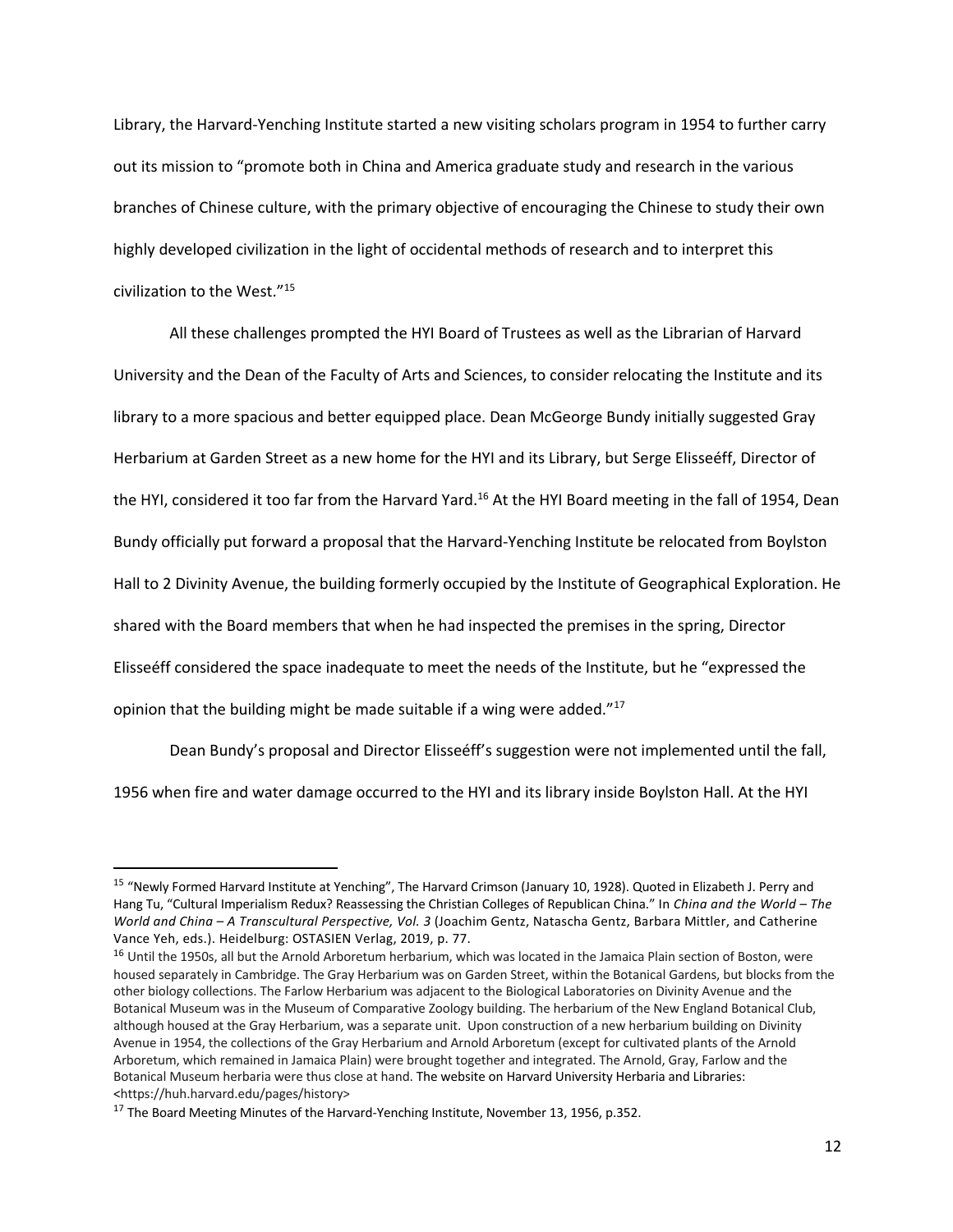Library, the Harvard-Yenching Institute started a new visiting scholars program in 1954 to further carry out its mission to "promote both in China and America graduate study and research in the various branches of Chinese culture, with the primary objective of encouraging the Chinese to study their own highly developed civilization in the light of occidental methods of research and to interpret this civilization to the West."15

All these challenges prompted the HYI Board of Trustees as well as the Librarian of Harvard University and the Dean of the Faculty of Arts and Sciences, to consider relocating the Institute and its library to a more spacious and better equipped place. Dean McGeorge Bundy initially suggested Gray Herbarium at Garden Street as a new home for the HYI and its Library, but Serge Elisseéff, Director of the HYI, considered it too far from the Harvard Yard.<sup>16</sup> At the HYI Board meeting in the fall of 1954, Dean Bundy officially put forward a proposal that the Harvard-Yenching Institute be relocated from Boylston Hall to 2 Divinity Avenue, the building formerly occupied by the Institute of Geographical Exploration. He shared with the Board members that when he had inspected the premises in the spring, Director Elisseéff considered the space inadequate to meet the needs of the Institute, but he "expressed the opinion that the building might be made suitable if a wing were added."<sup>17</sup>

Dean Bundy's proposal and Director Elisseéff's suggestion were not implemented until the fall, 1956 when fire and water damage occurred to the HYI and its library inside Boylston Hall. At the HYI

<sup>&</sup>lt;sup>15</sup> "Newly Formed Harvard Institute at Yenching", The Harvard Crimson (January 10, 1928). Quoted in Elizabeth J. Perry and Hang Tu, "Cultural Imperialism Redux? Reassessing the Christian Colleges of Republican China." In *China and the World – The World and China – A Transcultural Perspective, Vol. 3* (Joachim Gentz, Natascha Gentz, Barbara Mittler, and Catherine Vance Yeh, eds.). Heidelburg: OSTASIEN Verlag, 2019, p. 77.

<sup>&</sup>lt;sup>16</sup> Until the 1950s, all but the Arnold Arboretum herbarium, which was located in the Jamaica Plain section of Boston, were housed separately in Cambridge. The Gray Herbarium was on Garden Street, within the Botanical Gardens, but blocks from the other biology collections. The Farlow Herbarium was adjacent to the Biological Laboratories on Divinity Avenue and the Botanical Museum was in the Museum of Comparative Zoology building. The herbarium of the New England Botanical Club, although housed at the Gray Herbarium, was a separate unit. Upon construction of a new herbarium building on Divinity Avenue in 1954, the collections of the Gray Herbarium and Arnold Arboretum (except for cultivated plants of the Arnold Arboretum, which remained in Jamaica Plain) were brought together and integrated. The Arnold, Gray, Farlow and the Botanical Museum herbaria were thus close at hand. The website on Harvard University Herbaria and Libraries: <https://huh.harvard.edu/pages/history>

<sup>&</sup>lt;sup>17</sup> The Board Meeting Minutes of the Harvard-Yenching Institute, November 13, 1956, p.352.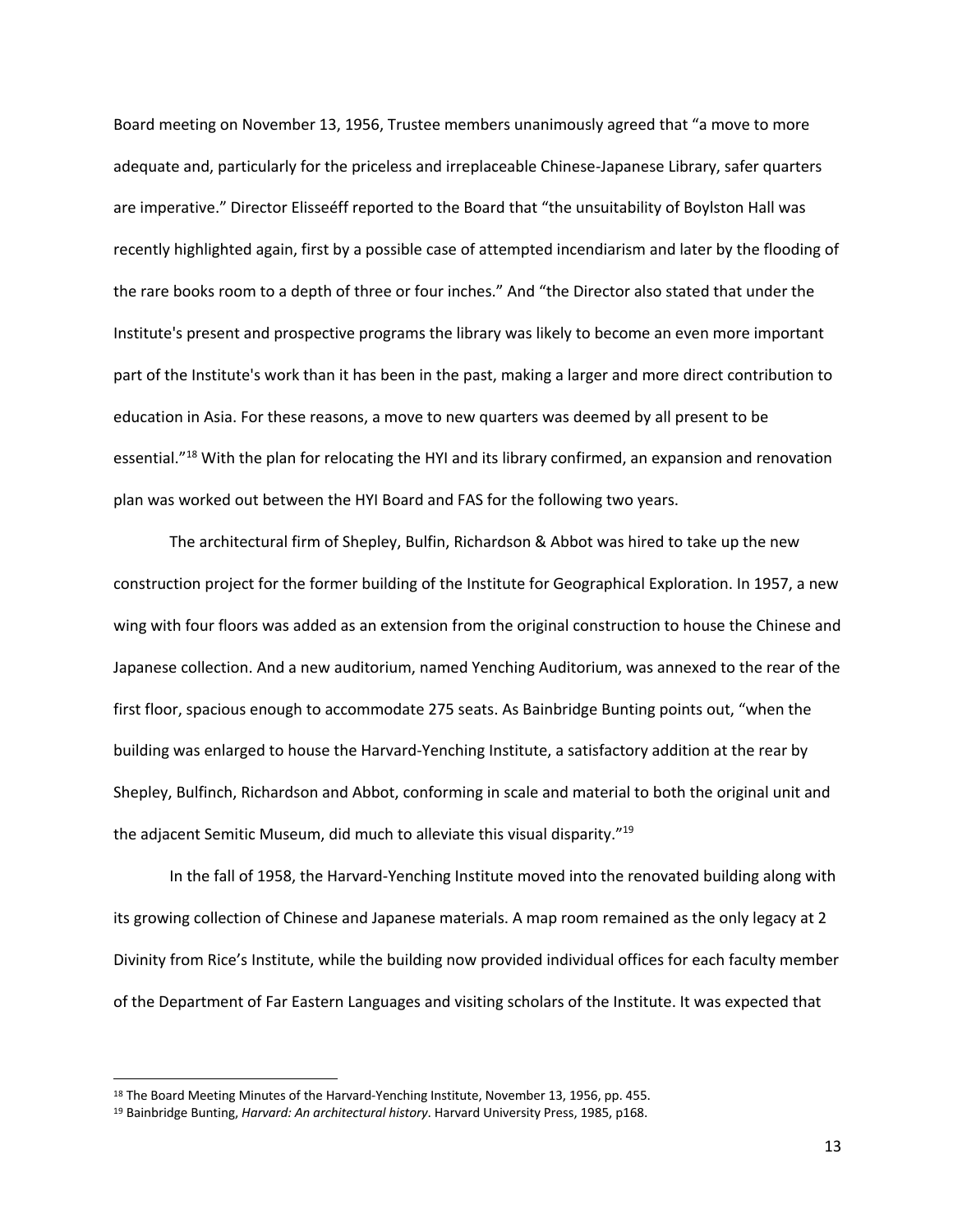Board meeting on November 13, 1956, Trustee members unanimously agreed that "a move to more adequate and, particularly for the priceless and irreplaceable Chinese-Japanese Library, safer quarters are imperative." Director Elisseéff reported to the Board that "the unsuitability of Boylston Hall was recently highlighted again, first by a possible case of attempted incendiarism and later by the flooding of the rare books room to a depth of three or four inches." And "the Director also stated that under the Institute's present and prospective programs the library was likely to become an even more important part of the Institute's work than it has been in the past, making a larger and more direct contribution to education in Asia. For these reasons, a move to new quarters was deemed by all present to be essential."18 With the plan for relocating the HYI and its library confirmed, an expansion and renovation plan was worked out between the HYI Board and FAS for the following two years.

The architectural firm of Shepley, Bulfin, Richardson & Abbot was hired to take up the new construction project for the former building of the Institute for Geographical Exploration. In 1957, a new wing with four floors was added as an extension from the original construction to house the Chinese and Japanese collection. And a new auditorium, named Yenching Auditorium, was annexed to the rear of the first floor, spacious enough to accommodate 275 seats. As Bainbridge Bunting points out, "when the building was enlarged to house the Harvard-Yenching Institute, a satisfactory addition at the rear by Shepley, Bulfinch, Richardson and Abbot, conforming in scale and material to both the original unit and the adjacent Semitic Museum, did much to alleviate this visual disparity."<sup>19</sup>

In the fall of 1958, the Harvard-Yenching Institute moved into the renovated building along with its growing collection of Chinese and Japanese materials. A map room remained as the only legacy at 2 Divinity from Rice's Institute, while the building now provided individual offices for each faculty member of the Department of Far Eastern Languages and visiting scholars of the Institute. It was expected that

<sup>&</sup>lt;sup>18</sup> The Board Meeting Minutes of the Harvard-Yenching Institute, November 13, 1956, pp. 455.

<sup>19</sup> Bainbridge Bunting, *Harvard: An architectural history*. Harvard University Press, 1985, p168.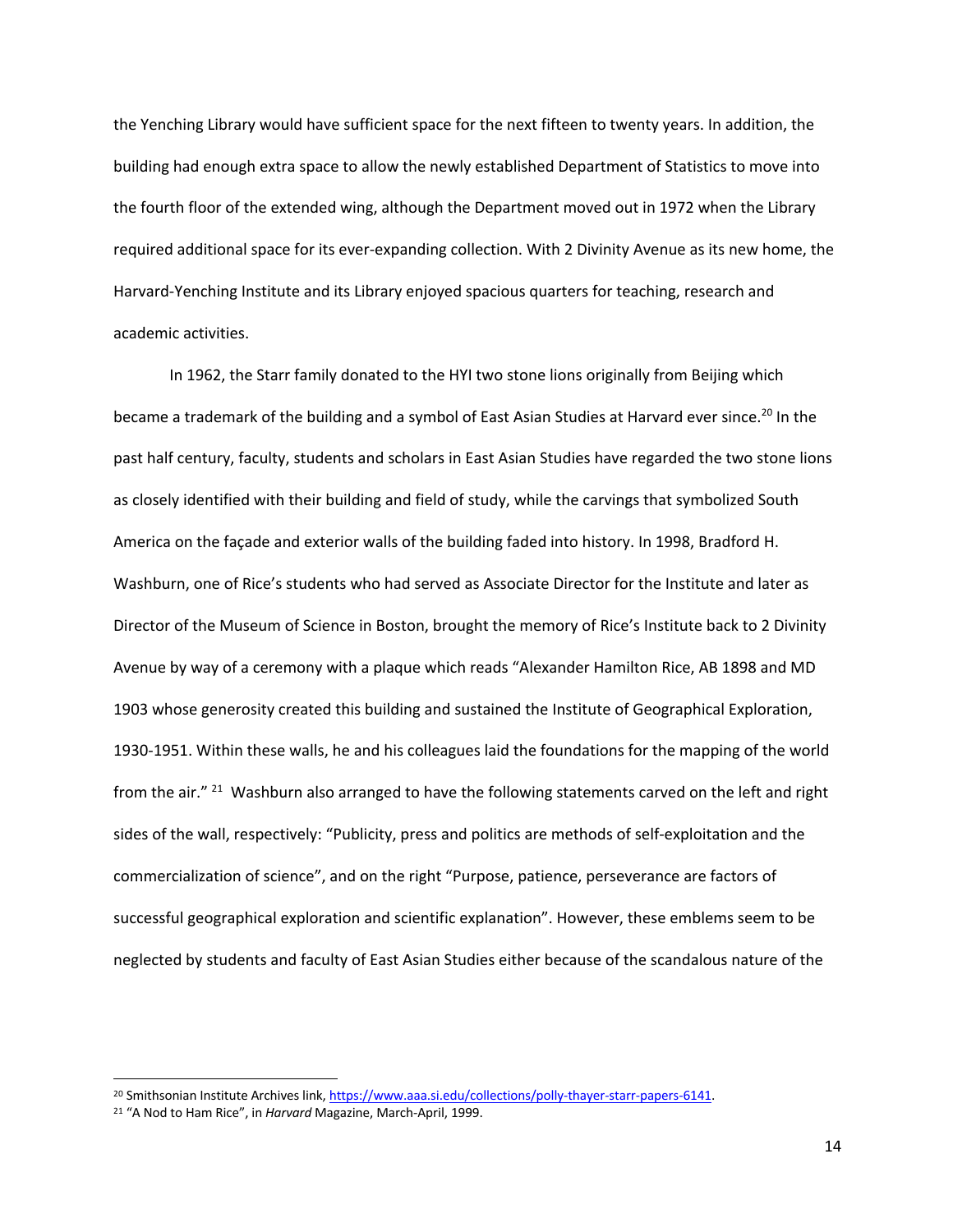the Yenching Library would have sufficient space for the next fifteen to twenty years. In addition, the building had enough extra space to allow the newly established Department of Statistics to move into the fourth floor of the extended wing, although the Department moved out in 1972 when the Library required additional space for its ever-expanding collection. With 2 Divinity Avenue as its new home, the Harvard-Yenching Institute and its Library enjoyed spacious quarters for teaching, research and academic activities.

In 1962, the Starr family donated to the HYI two stone lions originally from Beijing which became a trademark of the building and a symbol of East Asian Studies at Harvard ever since.<sup>20</sup> In the past half century, faculty, students and scholars in East Asian Studies have regarded the two stone lions as closely identified with their building and field of study, while the carvings that symbolized South America on the façade and exterior walls of the building faded into history. In 1998, Bradford H. Washburn, one of Rice's students who had served as Associate Director for the Institute and later as Director of the Museum of Science in Boston, brought the memory of Rice's Institute back to 2 Divinity Avenue by way of a ceremony with a plaque which reads "Alexander Hamilton Rice, AB 1898 and MD 1903 whose generosity created this building and sustained the Institute of Geographical Exploration, 1930-1951. Within these walls, he and his colleagues laid the foundations for the mapping of the world from the air." <sup>21</sup> Washburn also arranged to have the following statements carved on the left and right sides of the wall, respectively: "Publicity, press and politics are methods of self-exploitation and the commercialization of science", and on the right "Purpose, patience, perseverance are factors of successful geographical exploration and scientific explanation". However, these emblems seem to be neglected by students and faculty of East Asian Studies either because of the scandalous nature of the

<sup>&</sup>lt;sup>20</sup> Smithsonian Institute Archives link, https://www.aaa.si.edu/collections/polly-thayer-starr-papers-6141.

<sup>21</sup> "A Nod to Ham Rice", in *Harvard* Magazine, March-April, 1999.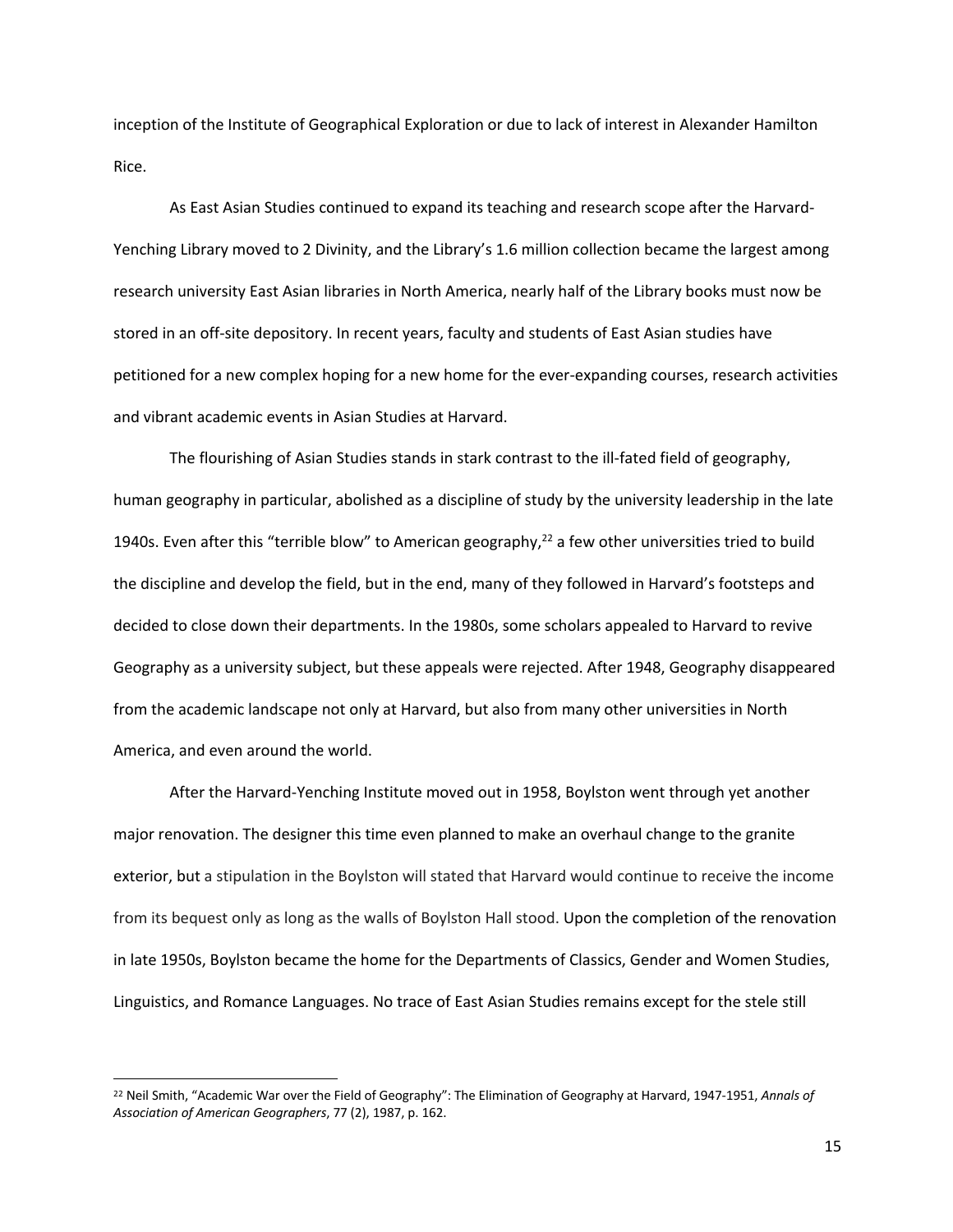inception of the Institute of Geographical Exploration or due to lack of interest in Alexander Hamilton Rice.

As East Asian Studies continued to expand its teaching and research scope after the Harvard-Yenching Library moved to 2 Divinity, and the Library's 1.6 million collection became the largest among research university East Asian libraries in North America, nearly half of the Library books must now be stored in an off-site depository. In recent years, faculty and students of East Asian studies have petitioned for a new complex hoping for a new home for the ever-expanding courses, research activities and vibrant academic events in Asian Studies at Harvard.

The flourishing of Asian Studies stands in stark contrast to the ill-fated field of geography, human geography in particular, abolished as a discipline of study by the university leadership in the late 1940s. Even after this "terrible blow" to American geography, $^{22}$  a few other universities tried to build the discipline and develop the field, but in the end, many of they followed in Harvard's footsteps and decided to close down their departments. In the 1980s, some scholars appealed to Harvard to revive Geography as a university subject, but these appeals were rejected. After 1948, Geography disappeared from the academic landscape not only at Harvard, but also from many other universities in North America, and even around the world.

After the Harvard-Yenching Institute moved out in 1958, Boylston went through yet another major renovation. The designer this time even planned to make an overhaul change to the granite exterior, but a stipulation in the Boylston will stated that Harvard would continue to receive the income from its bequest only as long as the walls of Boylston Hall stood. Upon the completion of the renovation in late 1950s, Boylston became the home for the Departments of Classics, Gender and Women Studies, Linguistics, and Romance Languages. No trace of East Asian Studies remains except for the stele still

<sup>22</sup> Neil Smith, "Academic War over the Field of Geography": The Elimination of Geography at Harvard, 1947-1951, *Annals of Association of American Geographers*, 77 (2), 1987, p. 162.